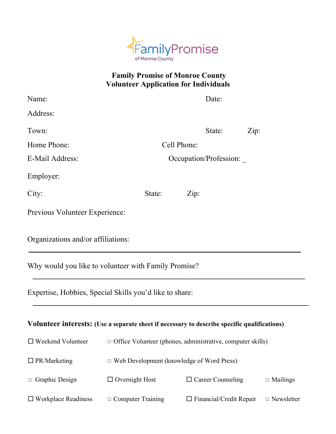

## **Family Promise of Monroe County Volunteer Application for Individuals**

| Name:                              |                                                                                              | Date:                                            |                                |      |                   |  |
|------------------------------------|----------------------------------------------------------------------------------------------|--------------------------------------------------|--------------------------------|------|-------------------|--|
| Address:                           |                                                                                              |                                                  |                                |      |                   |  |
| Town:                              |                                                                                              |                                                  | State:                         | Zip: |                   |  |
| Home Phone:                        |                                                                                              | Cell Phone:                                      |                                |      |                   |  |
| E-Mail Address:                    |                                                                                              | Occupation/Profession:                           |                                |      |                   |  |
| Employer:                          |                                                                                              |                                                  |                                |      |                   |  |
| City:                              | State:                                                                                       | Zip:                                             |                                |      |                   |  |
| Previous Volunteer Experience:     |                                                                                              |                                                  |                                |      |                   |  |
| Organizations and/or affiliations: |                                                                                              |                                                  |                                |      |                   |  |
|                                    | Why would you like to volunteer with Family Promise?                                         |                                                  |                                |      |                   |  |
|                                    | Expertise, Hobbies, Special Skills you'd like to share:                                      |                                                  |                                |      |                   |  |
|                                    | Volunteer interests: (Use a separate sheet if necessary to describe specific qualifications) |                                                  |                                |      |                   |  |
| $\Box$ Weekend Volunteer           | □ Office Volunteer (phones, administrative, computer skills)                                 |                                                  |                                |      |                   |  |
| $\Box$ PR/Marketing                |                                                                                              | $\Box$ Web Development (knowledge of Word Press) |                                |      |                   |  |
| $\Box$ Graphic Design              | $\Box$ Overnight Host                                                                        |                                                  | $\Box$ Career Counseling       |      | $\Box$ Mailings   |  |
| $\Box$ Workplace Readiness         | $\Box$ Computer Training                                                                     |                                                  | $\Box$ Financial/Credit Repair |      | $\Box$ Newsletter |  |